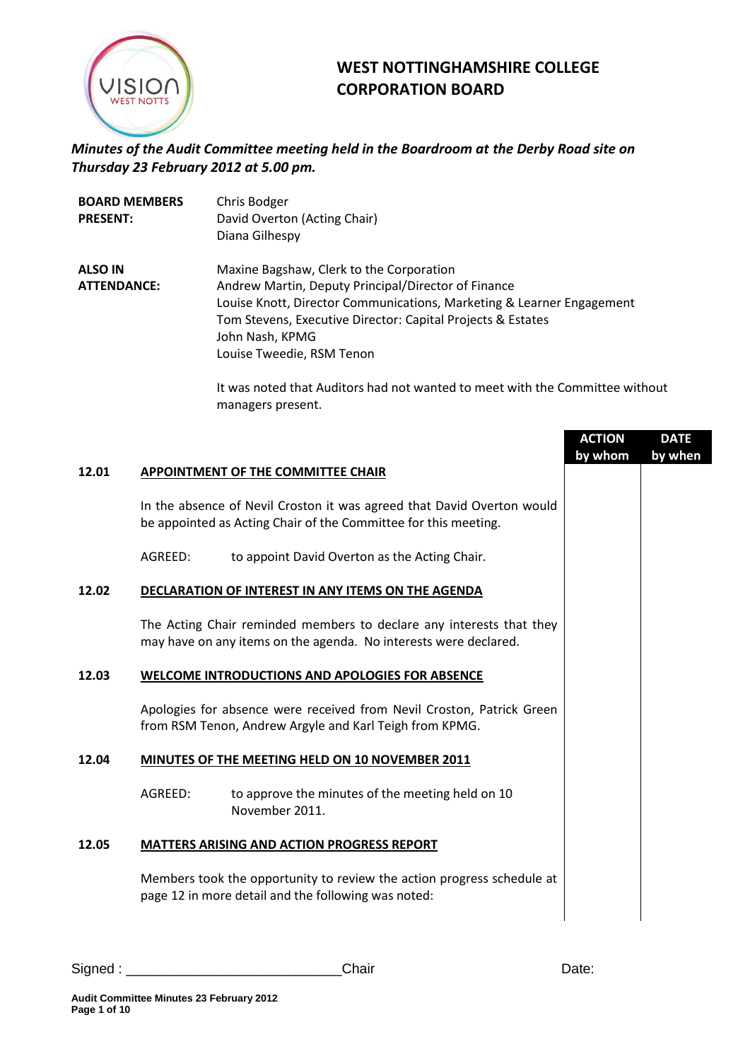

## **WEST NOTTINGHAMSHIRE COLLEGE CORPORATION BOARD**

## *Minutes of the Audit Committee meeting held in the Boardroom at the Derby Road site on Thursday 23 February 2012 at 5.00 pm.*

| <b>BOARD MEMBERS</b> | Chris Bodger                                                          |
|----------------------|-----------------------------------------------------------------------|
| <b>PRESENT:</b>      | David Overton (Acting Chair)                                          |
|                      | Diana Gilhespy                                                        |
| <b>ALSO IN</b>       | Maxine Bagshaw, Clerk to the Corporation                              |
| <b>ATTENDANCE:</b>   | Andrew Martin, Deputy Principal/Director of Finance                   |
|                      | Louise Knott, Director Communications, Marketing & Learner Engagement |
|                      | Tom Stevens, Executive Director: Capital Projects & Estates           |
|                      | John Nash, KPMG                                                       |
|                      | Louise Tweedie, RSM Tenon                                             |

It was noted that Auditors had not wanted to meet with the Committee without managers present.

|         |                                                                                                                                           | <b>ACTION</b><br>by whom | <b>DATE</b><br>by when |
|---------|-------------------------------------------------------------------------------------------------------------------------------------------|--------------------------|------------------------|
|         | APPOINTMENT OF THE COMMITTEE CHAIR                                                                                                        |                          |                        |
|         | In the absence of Nevil Croston it was agreed that David Overton would<br>be appointed as Acting Chair of the Committee for this meeting. |                          |                        |
| AGREED: | to appoint David Overton as the Acting Chair.                                                                                             |                          |                        |
|         | DECLARATION OF INTEREST IN ANY ITEMS ON THE AGENDA                                                                                        |                          |                        |
|         | The Acting Chair reminded members to declare any interests that they<br>may have on any items on the agenda. No interests were declared.  |                          |                        |
|         | <b>WELCOME INTRODUCTIONS AND APOLOGIES FOR ABSENCE</b>                                                                                    |                          |                        |
|         | Apologies for absence were received from Nevil Croston, Patrick Green<br>from RSM Tenon, Andrew Argyle and Karl Teigh from KPMG.          |                          |                        |
|         | MINUTES OF THE MEETING HELD ON 10 NOVEMBER 2011                                                                                           |                          |                        |
| AGREED: | to approve the minutes of the meeting held on 10<br>November 2011.                                                                        |                          |                        |
|         | <b>MATTERS ARISING AND ACTION PROGRESS REPORT</b>                                                                                         |                          |                        |
|         | Members took the opportunity to review the action progress schedule at<br>page 12 in more detail and the following was noted:             |                          |                        |
|         |                                                                                                                                           |                          |                        |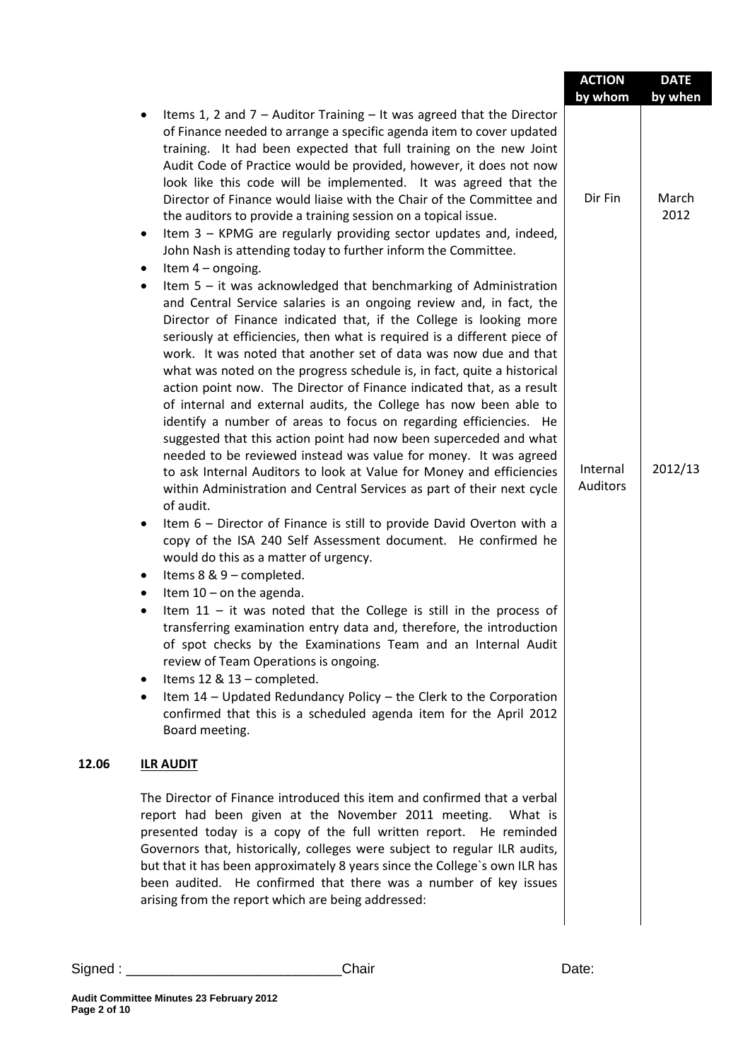|                                                         |                                                                                                                                                                                                                                                                                                                                                                                                                                                                                                                                                                                                                                                                                                                                                                                                                                                                                                                                                                                                                                                                                                                                                                                                                                                                                                                                                                                                                                                                                                                                                                                                                                                                         | <b>ACTION</b><br>by whom    | <b>DATE</b><br>by when |
|---------------------------------------------------------|-------------------------------------------------------------------------------------------------------------------------------------------------------------------------------------------------------------------------------------------------------------------------------------------------------------------------------------------------------------------------------------------------------------------------------------------------------------------------------------------------------------------------------------------------------------------------------------------------------------------------------------------------------------------------------------------------------------------------------------------------------------------------------------------------------------------------------------------------------------------------------------------------------------------------------------------------------------------------------------------------------------------------------------------------------------------------------------------------------------------------------------------------------------------------------------------------------------------------------------------------------------------------------------------------------------------------------------------------------------------------------------------------------------------------------------------------------------------------------------------------------------------------------------------------------------------------------------------------------------------------------------------------------------------------|-----------------------------|------------------------|
| ٠<br>$\bullet$                                          | Items 1, 2 and $7 -$ Auditor Training $-$ It was agreed that the Director<br>of Finance needed to arrange a specific agenda item to cover updated<br>training. It had been expected that full training on the new Joint<br>Audit Code of Practice would be provided, however, it does not now<br>look like this code will be implemented. It was agreed that the<br>Director of Finance would liaise with the Chair of the Committee and<br>the auditors to provide a training session on a topical issue.<br>Item 3 - KPMG are regularly providing sector updates and, indeed,<br>John Nash is attending today to further inform the Committee.<br>Item $4$ – ongoing.                                                                                                                                                                                                                                                                                                                                                                                                                                                                                                                                                                                                                                                                                                                                                                                                                                                                                                                                                                                                 | Dir Fin                     | March<br>2012          |
| $\bullet$<br>$\bullet$<br>٠<br>٠<br>$\bullet$<br>٠<br>٠ | Item $5 - it$ was acknowledged that benchmarking of Administration<br>and Central Service salaries is an ongoing review and, in fact, the<br>Director of Finance indicated that, if the College is looking more<br>seriously at efficiencies, then what is required is a different piece of<br>work. It was noted that another set of data was now due and that<br>what was noted on the progress schedule is, in fact, quite a historical<br>action point now. The Director of Finance indicated that, as a result<br>of internal and external audits, the College has now been able to<br>identify a number of areas to focus on regarding efficiencies. He<br>suggested that this action point had now been superceded and what<br>needed to be reviewed instead was value for money. It was agreed<br>to ask Internal Auditors to look at Value for Money and efficiencies<br>within Administration and Central Services as part of their next cycle<br>of audit.<br>Item 6 - Director of Finance is still to provide David Overton with a<br>copy of the ISA 240 Self Assessment document. He confirmed he<br>would do this as a matter of urgency.<br>Items 8 & 9 - completed.<br>Item $10$ – on the agenda.<br>Item $11$ - it was noted that the College is still in the process of<br>transferring examination entry data and, therefore, the introduction<br>of spot checks by the Examinations Team and an Internal Audit<br>review of Team Operations is ongoing.<br>Items 12 & 13 - completed.<br>Item 14 - Updated Redundancy Policy - the Clerk to the Corporation<br>confirmed that this is a scheduled agenda item for the April 2012<br>Board meeting. | Internal<br><b>Auditors</b> | 2012/13                |
| 12.06                                                   | <b>ILR AUDIT</b>                                                                                                                                                                                                                                                                                                                                                                                                                                                                                                                                                                                                                                                                                                                                                                                                                                                                                                                                                                                                                                                                                                                                                                                                                                                                                                                                                                                                                                                                                                                                                                                                                                                        |                             |                        |
|                                                         | The Director of Finance introduced this item and confirmed that a verbal<br>report had been given at the November 2011 meeting.<br>What is<br>presented today is a copy of the full written report. He reminded<br>Governors that, historically, colleges were subject to regular ILR audits,<br>but that it has been approximately 8 years since the College's own ILR has<br>been audited. He confirmed that there was a number of key issues<br>arising from the report which are being addressed:                                                                                                                                                                                                                                                                                                                                                                                                                                                                                                                                                                                                                                                                                                                                                                                                                                                                                                                                                                                                                                                                                                                                                                   |                             |                        |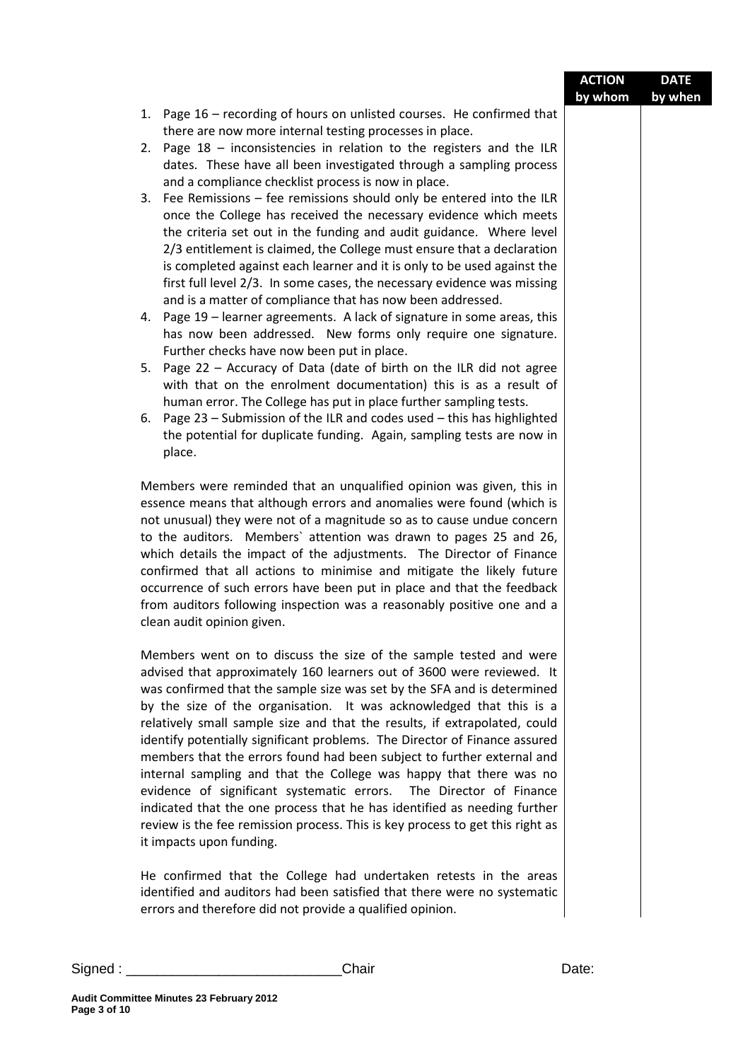|                                   |                                                                                                                                                   | <b>ACTION</b> | <b>DATE</b> |
|-----------------------------------|---------------------------------------------------------------------------------------------------------------------------------------------------|---------------|-------------|
|                                   |                                                                                                                                                   | by whom       | by when     |
|                                   | 1. Page 16 - recording of hours on unlisted courses. He confirmed that                                                                            |               |             |
|                                   | there are now more internal testing processes in place.                                                                                           |               |             |
|                                   | 2. Page 18 - inconsistencies in relation to the registers and the ILR                                                                             |               |             |
|                                   | dates. These have all been investigated through a sampling process                                                                                |               |             |
|                                   | and a compliance checklist process is now in place.                                                                                               |               |             |
|                                   | 3. Fee Remissions - fee remissions should only be entered into the ILR                                                                            |               |             |
|                                   | once the College has received the necessary evidence which meets                                                                                  |               |             |
|                                   | the criteria set out in the funding and audit guidance. Where level                                                                               |               |             |
|                                   | 2/3 entitlement is claimed, the College must ensure that a declaration<br>is completed against each learner and it is only to be used against the |               |             |
|                                   | first full level 2/3. In some cases, the necessary evidence was missing                                                                           |               |             |
|                                   | and is a matter of compliance that has now been addressed.                                                                                        |               |             |
|                                   | 4. Page 19 - learner agreements. A lack of signature in some areas, this                                                                          |               |             |
|                                   | has now been addressed. New forms only require one signature.                                                                                     |               |             |
|                                   | Further checks have now been put in place.                                                                                                        |               |             |
|                                   | Page 22 - Accuracy of Data (date of birth on the ILR did not agree<br>5.                                                                          |               |             |
|                                   | with that on the enrolment documentation) this is as a result of                                                                                  |               |             |
|                                   | human error. The College has put in place further sampling tests.                                                                                 |               |             |
|                                   | 6. Page 23 - Submission of the ILR and codes used - this has highlighted                                                                          |               |             |
|                                   | the potential for duplicate funding. Again, sampling tests are now in                                                                             |               |             |
|                                   | place.                                                                                                                                            |               |             |
|                                   |                                                                                                                                                   |               |             |
|                                   | Members were reminded that an unqualified opinion was given, this in                                                                              |               |             |
|                                   | essence means that although errors and anomalies were found (which is                                                                             |               |             |
|                                   | not unusual) they were not of a magnitude so as to cause undue concern                                                                            |               |             |
|                                   | to the auditors. Members' attention was drawn to pages 25 and 26,                                                                                 |               |             |
|                                   | which details the impact of the adjustments. The Director of Finance                                                                              |               |             |
|                                   | confirmed that all actions to minimise and mitigate the likely future<br>occurrence of such errors have been put in place and that the feedback   |               |             |
|                                   | from auditors following inspection was a reasonably positive one and a                                                                            |               |             |
|                                   | clean audit opinion given.                                                                                                                        |               |             |
|                                   |                                                                                                                                                   |               |             |
|                                   | Members went on to discuss the size of the sample tested and were                                                                                 |               |             |
|                                   | advised that approximately 160 learners out of 3600 were reviewed. It                                                                             |               |             |
|                                   | was confirmed that the sample size was set by the SFA and is determined                                                                           |               |             |
|                                   | by the size of the organisation. It was acknowledged that this is a                                                                               |               |             |
|                                   | relatively small sample size and that the results, if extrapolated, could                                                                         |               |             |
|                                   | identify potentially significant problems. The Director of Finance assured                                                                        |               |             |
|                                   | members that the errors found had been subject to further external and                                                                            |               |             |
|                                   | internal sampling and that the College was happy that there was no                                                                                |               |             |
|                                   | evidence of significant systematic errors. The Director of Finance                                                                                |               |             |
|                                   | indicated that the one process that he has identified as needing further                                                                          |               |             |
|                                   | review is the fee remission process. This is key process to get this right as                                                                     |               |             |
|                                   | it impacts upon funding.                                                                                                                          |               |             |
|                                   | He confirmed that the College had undertaken retests in the areas                                                                                 |               |             |
|                                   | identified and auditors had been satisfied that there were no systematic                                                                          |               |             |
|                                   | errors and therefore did not provide a qualified opinion.                                                                                         |               |             |
|                                   |                                                                                                                                                   |               |             |
|                                   |                                                                                                                                                   |               |             |
| Signed : $\overline{\phantom{a}}$ | Chair                                                                                                                                             | Date:         |             |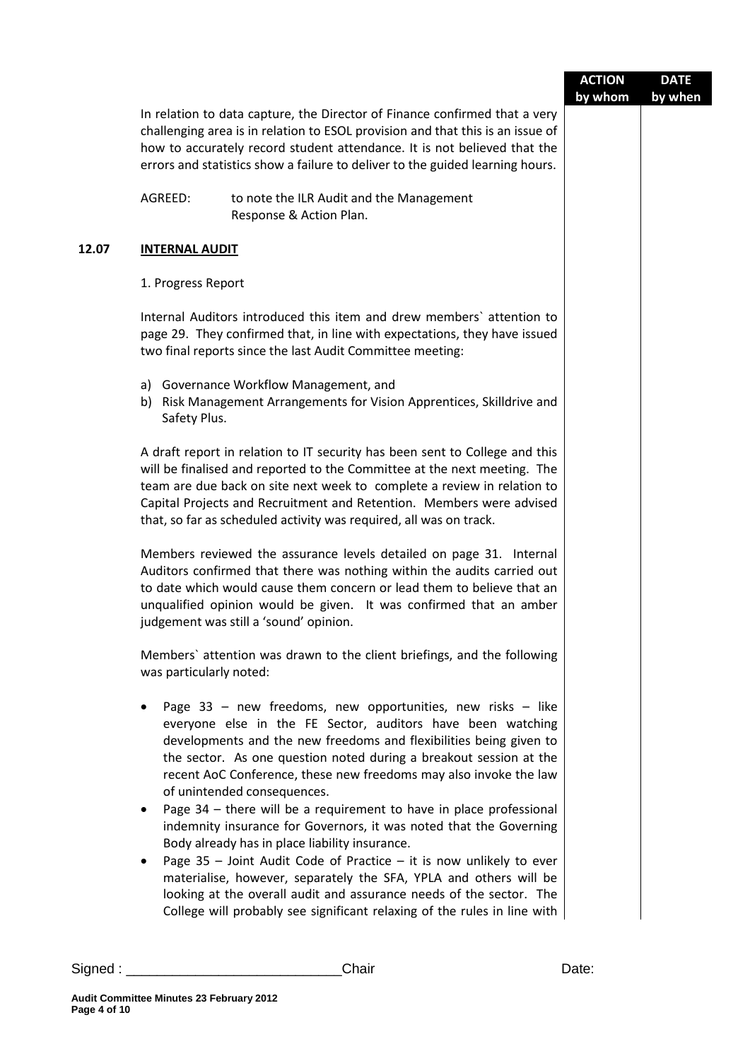|       |                         |                                                                                                                                                                                                                                                                                                                                                                                                                                                                                                                                                                             | <b>ACTION</b><br>by whom | <b>DATE</b><br>by when |
|-------|-------------------------|-----------------------------------------------------------------------------------------------------------------------------------------------------------------------------------------------------------------------------------------------------------------------------------------------------------------------------------------------------------------------------------------------------------------------------------------------------------------------------------------------------------------------------------------------------------------------------|--------------------------|------------------------|
|       |                         | In relation to data capture, the Director of Finance confirmed that a very<br>challenging area is in relation to ESOL provision and that this is an issue of<br>how to accurately record student attendance. It is not believed that the<br>errors and statistics show a failure to deliver to the guided learning hours.                                                                                                                                                                                                                                                   |                          |                        |
|       | AGREED:                 | to note the ILR Audit and the Management<br>Response & Action Plan.                                                                                                                                                                                                                                                                                                                                                                                                                                                                                                         |                          |                        |
| 12.07 | <b>INTERNAL AUDIT</b>   |                                                                                                                                                                                                                                                                                                                                                                                                                                                                                                                                                                             |                          |                        |
|       | 1. Progress Report      |                                                                                                                                                                                                                                                                                                                                                                                                                                                                                                                                                                             |                          |                        |
|       |                         | Internal Auditors introduced this item and drew members' attention to<br>page 29. They confirmed that, in line with expectations, they have issued<br>two final reports since the last Audit Committee meeting:                                                                                                                                                                                                                                                                                                                                                             |                          |                        |
|       | Safety Plus.            | a) Governance Workflow Management, and<br>b) Risk Management Arrangements for Vision Apprentices, Skilldrive and                                                                                                                                                                                                                                                                                                                                                                                                                                                            |                          |                        |
|       |                         | A draft report in relation to IT security has been sent to College and this<br>will be finalised and reported to the Committee at the next meeting. The<br>team are due back on site next week to complete a review in relation to<br>Capital Projects and Recruitment and Retention. Members were advised<br>that, so far as scheduled activity was required, all was on track.                                                                                                                                                                                            |                          |                        |
|       |                         | Members reviewed the assurance levels detailed on page 31. Internal<br>Auditors confirmed that there was nothing within the audits carried out<br>to date which would cause them concern or lead them to believe that an<br>unqualified opinion would be given. It was confirmed that an amber<br>judgement was still a 'sound' opinion.                                                                                                                                                                                                                                    |                          |                        |
|       | was particularly noted: | Members' attention was drawn to the client briefings, and the following                                                                                                                                                                                                                                                                                                                                                                                                                                                                                                     |                          |                        |
|       | $\bullet$               | Page 33 - new freedoms, new opportunities, new risks - like<br>everyone else in the FE Sector, auditors have been watching<br>developments and the new freedoms and flexibilities being given to<br>the sector. As one question noted during a breakout session at the<br>recent AoC Conference, these new freedoms may also invoke the law<br>of unintended consequences.<br>Page $34$ – there will be a requirement to have in place professional<br>indemnity insurance for Governors, it was noted that the Governing<br>Body already has in place liability insurance. |                          |                        |
|       | $\bullet$               | Page $35$ – Joint Audit Code of Practice – it is now unlikely to ever<br>materialise, however, separately the SFA, YPLA and others will be<br>looking at the overall audit and assurance needs of the sector. The<br>College will probably see significant relaxing of the rules in line with                                                                                                                                                                                                                                                                               |                          |                        |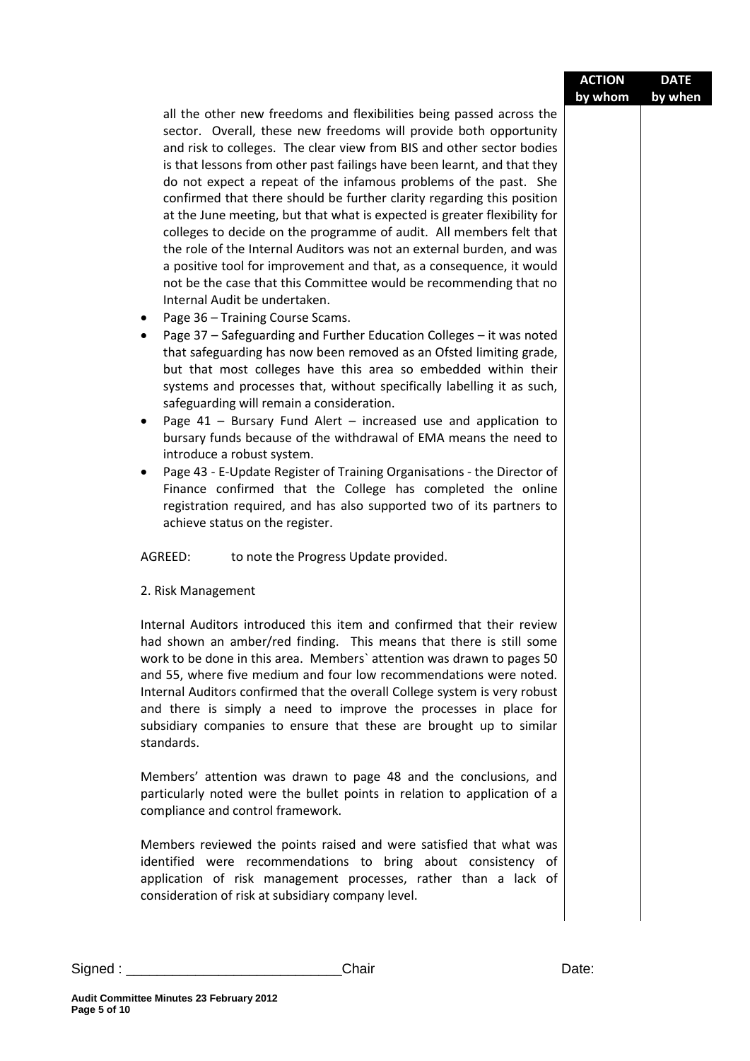|          |                                                                                                                                                                                                                                                                                                                                                                                                                                                                                                                                                                                                                                                                                                                                                                                                                                                                                                                                                                                                                                                                                                                                                                                                                                                                                                                                                                                                                                                                                                                                                                                                                                                                                             | <b>ACTION</b><br>by whom | <b>DATE</b><br>by when |
|----------|---------------------------------------------------------------------------------------------------------------------------------------------------------------------------------------------------------------------------------------------------------------------------------------------------------------------------------------------------------------------------------------------------------------------------------------------------------------------------------------------------------------------------------------------------------------------------------------------------------------------------------------------------------------------------------------------------------------------------------------------------------------------------------------------------------------------------------------------------------------------------------------------------------------------------------------------------------------------------------------------------------------------------------------------------------------------------------------------------------------------------------------------------------------------------------------------------------------------------------------------------------------------------------------------------------------------------------------------------------------------------------------------------------------------------------------------------------------------------------------------------------------------------------------------------------------------------------------------------------------------------------------------------------------------------------------------|--------------------------|------------------------|
|          | all the other new freedoms and flexibilities being passed across the<br>sector. Overall, these new freedoms will provide both opportunity<br>and risk to colleges. The clear view from BIS and other sector bodies<br>is that lessons from other past failings have been learnt, and that they<br>do not expect a repeat of the infamous problems of the past. She<br>confirmed that there should be further clarity regarding this position<br>at the June meeting, but that what is expected is greater flexibility for<br>colleges to decide on the programme of audit. All members felt that<br>the role of the Internal Auditors was not an external burden, and was<br>a positive tool for improvement and that, as a consequence, it would<br>not be the case that this Committee would be recommending that no<br>Internal Audit be undertaken.<br>Page 36 - Training Course Scams.<br>٠<br>Page 37 - Safeguarding and Further Education Colleges - it was noted<br>٠<br>that safeguarding has now been removed as an Ofsted limiting grade,<br>but that most colleges have this area so embedded within their<br>systems and processes that, without specifically labelling it as such,<br>safeguarding will remain a consideration.<br>Page $41$ – Bursary Fund Alert – increased use and application to<br>$\bullet$<br>bursary funds because of the withdrawal of EMA means the need to<br>introduce a robust system.<br>Page 43 - E-Update Register of Training Organisations - the Director of<br>٠<br>Finance confirmed that the College has completed the online<br>registration required, and has also supported two of its partners to<br>achieve status on the register. |                          |                        |
|          | AGREED:<br>to note the Progress Update provided.                                                                                                                                                                                                                                                                                                                                                                                                                                                                                                                                                                                                                                                                                                                                                                                                                                                                                                                                                                                                                                                                                                                                                                                                                                                                                                                                                                                                                                                                                                                                                                                                                                            |                          |                        |
|          | 2. Risk Management                                                                                                                                                                                                                                                                                                                                                                                                                                                                                                                                                                                                                                                                                                                                                                                                                                                                                                                                                                                                                                                                                                                                                                                                                                                                                                                                                                                                                                                                                                                                                                                                                                                                          |                          |                        |
|          | Internal Auditors introduced this item and confirmed that their review<br>had shown an amber/red finding. This means that there is still some<br>work to be done in this area. Members' attention was drawn to pages 50<br>and 55, where five medium and four low recommendations were noted.<br>Internal Auditors confirmed that the overall College system is very robust<br>and there is simply a need to improve the processes in place for<br>subsidiary companies to ensure that these are brought up to similar<br>standards.                                                                                                                                                                                                                                                                                                                                                                                                                                                                                                                                                                                                                                                                                                                                                                                                                                                                                                                                                                                                                                                                                                                                                        |                          |                        |
|          | Members' attention was drawn to page 48 and the conclusions, and<br>particularly noted were the bullet points in relation to application of a<br>compliance and control framework.                                                                                                                                                                                                                                                                                                                                                                                                                                                                                                                                                                                                                                                                                                                                                                                                                                                                                                                                                                                                                                                                                                                                                                                                                                                                                                                                                                                                                                                                                                          |                          |                        |
|          | Members reviewed the points raised and were satisfied that what was<br>identified were recommendations to bring about consistency of<br>application of risk management processes, rather than a lack of<br>consideration of risk at subsidiary company level.                                                                                                                                                                                                                                                                                                                                                                                                                                                                                                                                                                                                                                                                                                                                                                                                                                                                                                                                                                                                                                                                                                                                                                                                                                                                                                                                                                                                                               |                          |                        |
| Signed : | Chair                                                                                                                                                                                                                                                                                                                                                                                                                                                                                                                                                                                                                                                                                                                                                                                                                                                                                                                                                                                                                                                                                                                                                                                                                                                                                                                                                                                                                                                                                                                                                                                                                                                                                       | Date:                    |                        |

i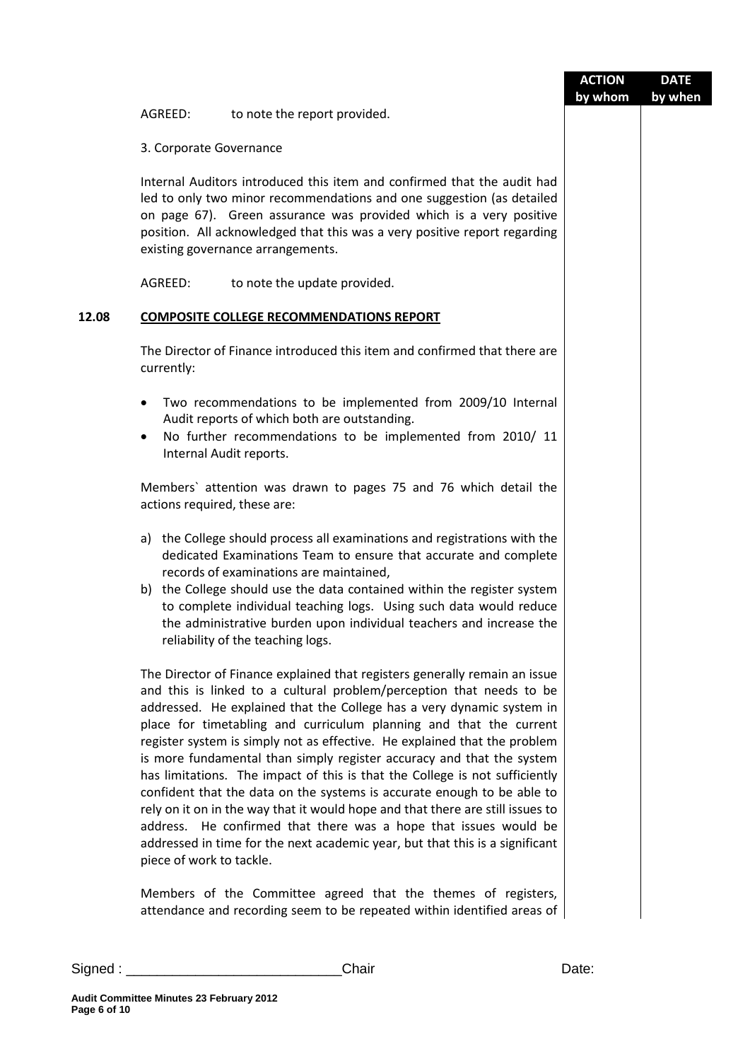|       |                              |                                                                                                                                                                                                                                                                                                                                                                                                                                                                                                                                                                                                                                                                                                                                                                                                                                                         | <b>ACTION</b><br>by whom | <b>DATE</b><br>by when |
|-------|------------------------------|---------------------------------------------------------------------------------------------------------------------------------------------------------------------------------------------------------------------------------------------------------------------------------------------------------------------------------------------------------------------------------------------------------------------------------------------------------------------------------------------------------------------------------------------------------------------------------------------------------------------------------------------------------------------------------------------------------------------------------------------------------------------------------------------------------------------------------------------------------|--------------------------|------------------------|
|       | AGREED:                      | to note the report provided.                                                                                                                                                                                                                                                                                                                                                                                                                                                                                                                                                                                                                                                                                                                                                                                                                            |                          |                        |
|       | 3. Corporate Governance      |                                                                                                                                                                                                                                                                                                                                                                                                                                                                                                                                                                                                                                                                                                                                                                                                                                                         |                          |                        |
|       |                              | Internal Auditors introduced this item and confirmed that the audit had<br>led to only two minor recommendations and one suggestion (as detailed<br>on page 67). Green assurance was provided which is a very positive<br>position. All acknowledged that this was a very positive report regarding<br>existing governance arrangements.                                                                                                                                                                                                                                                                                                                                                                                                                                                                                                                |                          |                        |
|       | AGREED:                      | to note the update provided.                                                                                                                                                                                                                                                                                                                                                                                                                                                                                                                                                                                                                                                                                                                                                                                                                            |                          |                        |
| 12.08 |                              | <b>COMPOSITE COLLEGE RECOMMENDATIONS REPORT</b>                                                                                                                                                                                                                                                                                                                                                                                                                                                                                                                                                                                                                                                                                                                                                                                                         |                          |                        |
|       | currently:                   | The Director of Finance introduced this item and confirmed that there are                                                                                                                                                                                                                                                                                                                                                                                                                                                                                                                                                                                                                                                                                                                                                                               |                          |                        |
|       | $\bullet$<br>$\bullet$       | Two recommendations to be implemented from 2009/10 Internal<br>Audit reports of which both are outstanding.<br>No further recommendations to be implemented from 2010/11<br>Internal Audit reports.                                                                                                                                                                                                                                                                                                                                                                                                                                                                                                                                                                                                                                                     |                          |                        |
|       | actions required, these are: | Members' attention was drawn to pages 75 and 76 which detail the                                                                                                                                                                                                                                                                                                                                                                                                                                                                                                                                                                                                                                                                                                                                                                                        |                          |                        |
|       |                              | a) the College should process all examinations and registrations with the<br>dedicated Examinations Team to ensure that accurate and complete<br>records of examinations are maintained,<br>b) the College should use the data contained within the register system<br>to complete individual teaching logs. Using such data would reduce<br>the administrative burden upon individual teachers and increase the<br>reliability of the teaching logs.                                                                                                                                                                                                                                                                                                                                                                                                   |                          |                        |
|       | piece of work to tackle.     | The Director of Finance explained that registers generally remain an issue<br>and this is linked to a cultural problem/perception that needs to be<br>addressed. He explained that the College has a very dynamic system in<br>place for timetabling and curriculum planning and that the current<br>register system is simply not as effective. He explained that the problem<br>is more fundamental than simply register accuracy and that the system<br>has limitations. The impact of this is that the College is not sufficiently<br>confident that the data on the systems is accurate enough to be able to<br>rely on it on in the way that it would hope and that there are still issues to<br>address. He confirmed that there was a hope that issues would be<br>addressed in time for the next academic year, but that this is a significant |                          |                        |
|       |                              | Members of the Committee agreed that the themes of registers,<br>attendance and recording seem to be repeated within identified areas of                                                                                                                                                                                                                                                                                                                                                                                                                                                                                                                                                                                                                                                                                                                |                          |                        |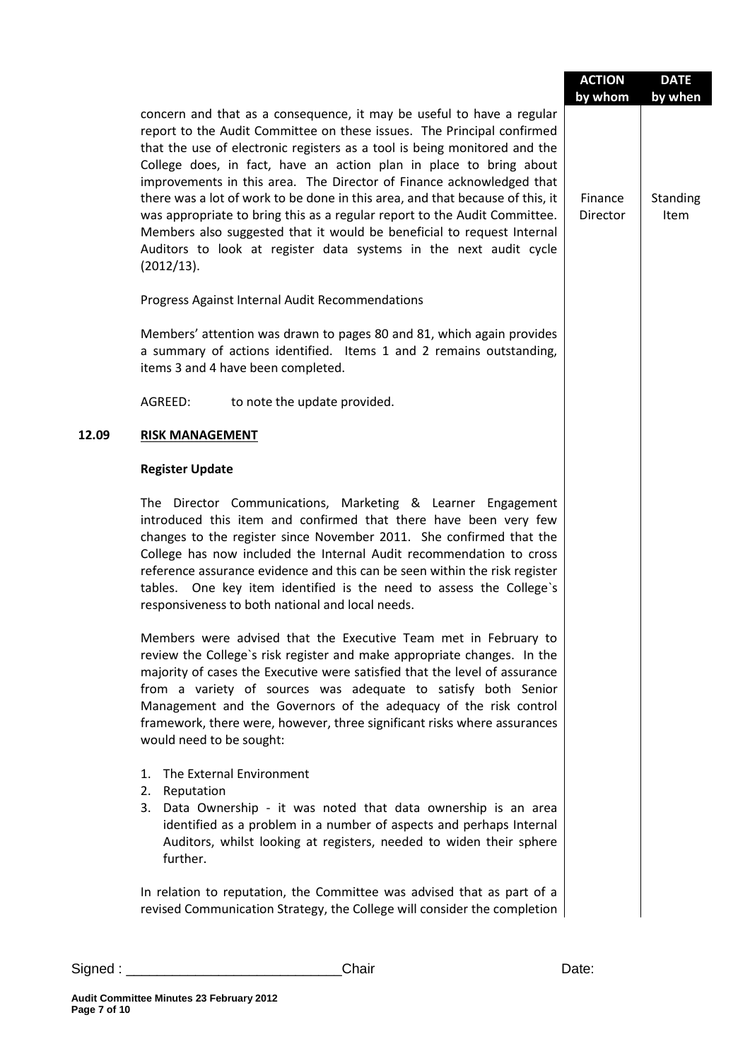|       |                                                                                                                                                                                                                                                                                                                                                                                                                                                                                                                                                                                                                                                                                                       | <b>ACTION</b><br>by whom | <b>DATE</b><br>by when  |
|-------|-------------------------------------------------------------------------------------------------------------------------------------------------------------------------------------------------------------------------------------------------------------------------------------------------------------------------------------------------------------------------------------------------------------------------------------------------------------------------------------------------------------------------------------------------------------------------------------------------------------------------------------------------------------------------------------------------------|--------------------------|-------------------------|
|       | concern and that as a consequence, it may be useful to have a regular<br>report to the Audit Committee on these issues. The Principal confirmed<br>that the use of electronic registers as a tool is being monitored and the<br>College does, in fact, have an action plan in place to bring about<br>improvements in this area. The Director of Finance acknowledged that<br>there was a lot of work to be done in this area, and that because of this, it<br>was appropriate to bring this as a regular report to the Audit Committee.<br>Members also suggested that it would be beneficial to request Internal<br>Auditors to look at register data systems in the next audit cycle<br>(2012/13). | Finance<br>Director      | Standing<br><b>Item</b> |
|       | Progress Against Internal Audit Recommendations                                                                                                                                                                                                                                                                                                                                                                                                                                                                                                                                                                                                                                                       |                          |                         |
|       | Members' attention was drawn to pages 80 and 81, which again provides<br>a summary of actions identified. Items 1 and 2 remains outstanding,<br>items 3 and 4 have been completed.                                                                                                                                                                                                                                                                                                                                                                                                                                                                                                                    |                          |                         |
|       | AGREED:<br>to note the update provided.                                                                                                                                                                                                                                                                                                                                                                                                                                                                                                                                                                                                                                                               |                          |                         |
| 12.09 | <b>RISK MANAGEMENT</b>                                                                                                                                                                                                                                                                                                                                                                                                                                                                                                                                                                                                                                                                                |                          |                         |
|       | <b>Register Update</b>                                                                                                                                                                                                                                                                                                                                                                                                                                                                                                                                                                                                                                                                                |                          |                         |
|       | The Director Communications, Marketing & Learner Engagement<br>introduced this item and confirmed that there have been very few<br>changes to the register since November 2011. She confirmed that the<br>College has now included the Internal Audit recommendation to cross<br>reference assurance evidence and this can be seen within the risk register<br>tables. One key item identified is the need to assess the College's<br>responsiveness to both national and local needs.                                                                                                                                                                                                                |                          |                         |
|       | Members were advised that the Executive Team met in February to<br>review the College's risk register and make appropriate changes. In the<br>majority of cases the Executive were satisfied that the level of assurance<br>from a variety of sources was adequate to satisfy both Senior<br>Management and the Governors of the adequacy of the risk control<br>framework, there were, however, three significant risks where assurances<br>would need to be sought:                                                                                                                                                                                                                                 |                          |                         |
|       | The External Environment<br>1.<br>2.<br>Reputation<br>3.<br>Data Ownership - it was noted that data ownership is an area<br>identified as a problem in a number of aspects and perhaps Internal<br>Auditors, whilst looking at registers, needed to widen their sphere<br>further.                                                                                                                                                                                                                                                                                                                                                                                                                    |                          |                         |
|       | In relation to reputation, the Committee was advised that as part of a<br>revised Communication Strategy, the College will consider the completion                                                                                                                                                                                                                                                                                                                                                                                                                                                                                                                                                    |                          |                         |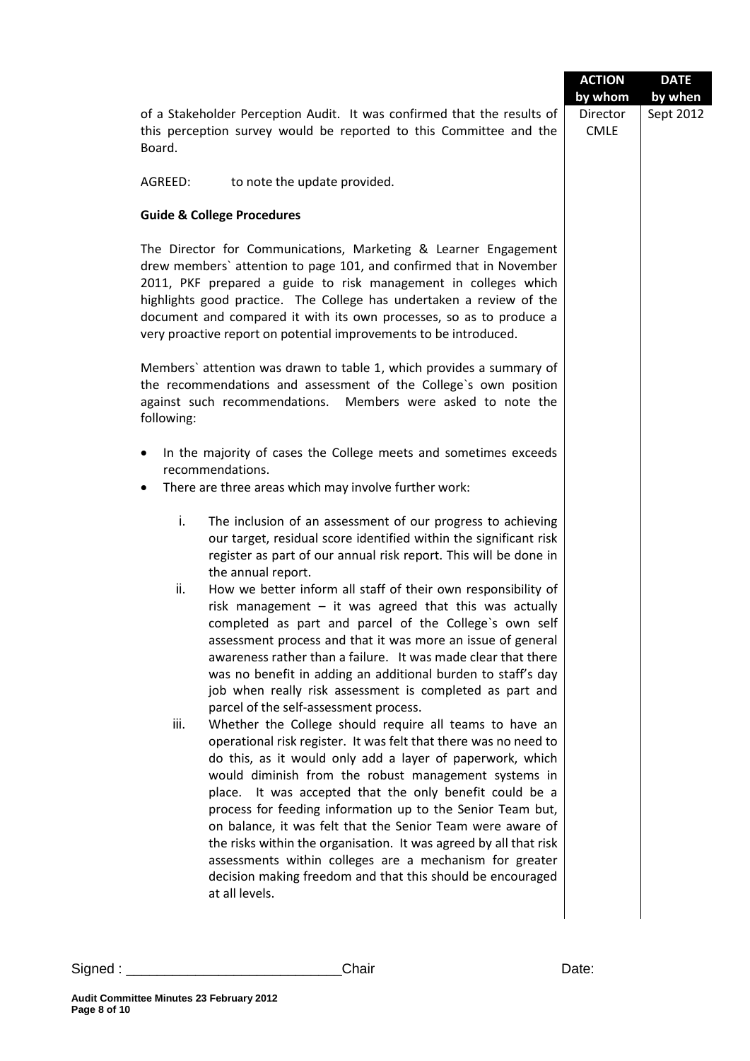|                                                                                                                                                                                                                                                                                                                                                                                                                                                                                                                                                                                                                                                                 | <b>ACTION</b>                      | <b>DATE</b>          |
|-----------------------------------------------------------------------------------------------------------------------------------------------------------------------------------------------------------------------------------------------------------------------------------------------------------------------------------------------------------------------------------------------------------------------------------------------------------------------------------------------------------------------------------------------------------------------------------------------------------------------------------------------------------------|------------------------------------|----------------------|
| of a Stakeholder Perception Audit. It was confirmed that the results of<br>this perception survey would be reported to this Committee and the<br>Board.                                                                                                                                                                                                                                                                                                                                                                                                                                                                                                         | by whom<br>Director<br><b>CMLE</b> | by when<br>Sept 2012 |
| AGREED:<br>to note the update provided.                                                                                                                                                                                                                                                                                                                                                                                                                                                                                                                                                                                                                         |                                    |                      |
| <b>Guide &amp; College Procedures</b>                                                                                                                                                                                                                                                                                                                                                                                                                                                                                                                                                                                                                           |                                    |                      |
| The Director for Communications, Marketing & Learner Engagement<br>drew members' attention to page 101, and confirmed that in November<br>2011, PKF prepared a guide to risk management in colleges which<br>highlights good practice. The College has undertaken a review of the<br>document and compared it with its own processes, so as to produce a<br>very proactive report on potential improvements to be introduced.                                                                                                                                                                                                                                   |                                    |                      |
| Members' attention was drawn to table 1, which provides a summary of<br>the recommendations and assessment of the College's own position<br>Members were asked to note the<br>against such recommendations.<br>following:                                                                                                                                                                                                                                                                                                                                                                                                                                       |                                    |                      |
| In the majority of cases the College meets and sometimes exceeds<br>recommendations.<br>There are three areas which may involve further work:<br>٠                                                                                                                                                                                                                                                                                                                                                                                                                                                                                                              |                                    |                      |
| i.<br>The inclusion of an assessment of our progress to achieving<br>our target, residual score identified within the significant risk<br>register as part of our annual risk report. This will be done in<br>the annual report.                                                                                                                                                                                                                                                                                                                                                                                                                                |                                    |                      |
| ii.<br>How we better inform all staff of their own responsibility of<br>risk management $-$ it was agreed that this was actually<br>completed as part and parcel of the College's own self<br>assessment process and that it was more an issue of general<br>awareness rather than a failure. It was made clear that there<br>was no benefit in adding an additional burden to staff's day<br>job when really risk assessment is completed as part and<br>parcel of the self-assessment process.                                                                                                                                                                |                                    |                      |
| iii.<br>Whether the College should require all teams to have an<br>operational risk register. It was felt that there was no need to<br>do this, as it would only add a layer of paperwork, which<br>would diminish from the robust management systems in<br>place. It was accepted that the only benefit could be a<br>process for feeding information up to the Senior Team but,<br>on balance, it was felt that the Senior Team were aware of<br>the risks within the organisation. It was agreed by all that risk<br>assessments within colleges are a mechanism for greater<br>decision making freedom and that this should be encouraged<br>at all levels. |                                    |                      |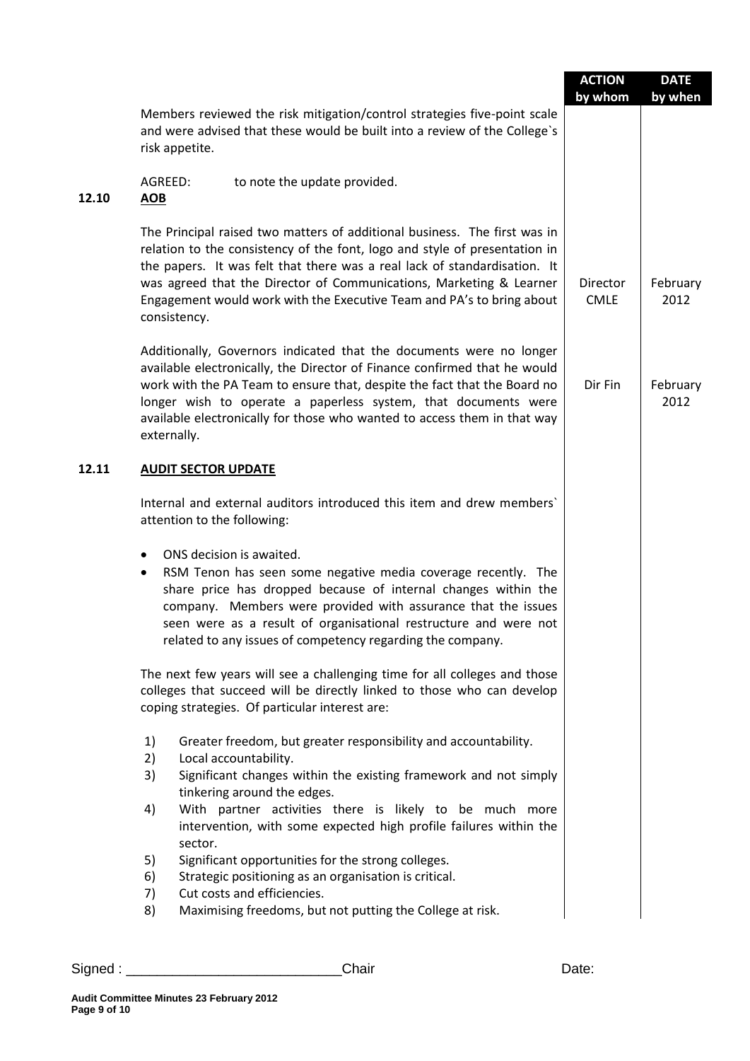| Members reviewed the risk mitigation/control strategies five-point scale<br>and were advised that these would be built into a review of the College's<br>risk appetite.<br>AGREED:<br>to note the update provided.<br>12.10<br><b>AOB</b><br>The Principal raised two matters of additional business. The first was in<br>relation to the consistency of the font, logo and style of presentation in<br>the papers. It was felt that there was a real lack of standardisation. It<br>was agreed that the Director of Communications, Marketing & Learner<br>Director<br><b>CMLE</b><br>Engagement would work with the Executive Team and PA's to bring about<br>consistency.<br>Additionally, Governors indicated that the documents were no longer<br>available electronically, the Director of Finance confirmed that he would<br>work with the PA Team to ensure that, despite the fact that the Board no<br>Dir Fin<br>longer wish to operate a paperless system, that documents were<br>available electronically for those who wanted to access them in that way<br>externally.<br>12.11<br><b>AUDIT SECTOR UPDATE</b><br>Internal and external auditors introduced this item and drew members'<br>attention to the following:<br>ONS decision is awaited.<br>$\bullet$<br>RSM Tenon has seen some negative media coverage recently. The<br>٠<br>share price has dropped because of internal changes within the<br>company. Members were provided with assurance that the issues<br>seen were as a result of organisational restructure and were not<br>related to any issues of competency regarding the company.<br>The next few years will see a challenging time for all colleges and those<br>colleges that succeed will be directly linked to those who can develop<br>coping strategies. Of particular interest are:<br>1)<br>Greater freedom, but greater responsibility and accountability.<br>Local accountability.<br>2)<br>Significant changes within the existing framework and not simply<br>3)<br>tinkering around the edges.<br>With partner activities there is likely to be much more<br>4)<br>intervention, with some expected high profile failures within the<br>sector.<br>Significant opportunities for the strong colleges.<br>5)<br>Strategic positioning as an organisation is critical.<br>6)<br>Cut costs and efficiencies.<br>7)<br>Maximising freedoms, but not putting the College at risk.<br>8) |  | <b>ACTION</b><br>by whom | <b>DATE</b><br>by when |
|---------------------------------------------------------------------------------------------------------------------------------------------------------------------------------------------------------------------------------------------------------------------------------------------------------------------------------------------------------------------------------------------------------------------------------------------------------------------------------------------------------------------------------------------------------------------------------------------------------------------------------------------------------------------------------------------------------------------------------------------------------------------------------------------------------------------------------------------------------------------------------------------------------------------------------------------------------------------------------------------------------------------------------------------------------------------------------------------------------------------------------------------------------------------------------------------------------------------------------------------------------------------------------------------------------------------------------------------------------------------------------------------------------------------------------------------------------------------------------------------------------------------------------------------------------------------------------------------------------------------------------------------------------------------------------------------------------------------------------------------------------------------------------------------------------------------------------------------------------------------------------------------------------------------------------------------------------------------------------------------------------------------------------------------------------------------------------------------------------------------------------------------------------------------------------------------------------------------------------------------------------------------------------------------------------------------------------------------------------------------------------------------------------------------------------------|--|--------------------------|------------------------|
|                                                                                                                                                                                                                                                                                                                                                                                                                                                                                                                                                                                                                                                                                                                                                                                                                                                                                                                                                                                                                                                                                                                                                                                                                                                                                                                                                                                                                                                                                                                                                                                                                                                                                                                                                                                                                                                                                                                                                                                                                                                                                                                                                                                                                                                                                                                                                                                                                                       |  |                          |                        |
|                                                                                                                                                                                                                                                                                                                                                                                                                                                                                                                                                                                                                                                                                                                                                                                                                                                                                                                                                                                                                                                                                                                                                                                                                                                                                                                                                                                                                                                                                                                                                                                                                                                                                                                                                                                                                                                                                                                                                                                                                                                                                                                                                                                                                                                                                                                                                                                                                                       |  |                          |                        |
|                                                                                                                                                                                                                                                                                                                                                                                                                                                                                                                                                                                                                                                                                                                                                                                                                                                                                                                                                                                                                                                                                                                                                                                                                                                                                                                                                                                                                                                                                                                                                                                                                                                                                                                                                                                                                                                                                                                                                                                                                                                                                                                                                                                                                                                                                                                                                                                                                                       |  |                          | February<br>2012       |
|                                                                                                                                                                                                                                                                                                                                                                                                                                                                                                                                                                                                                                                                                                                                                                                                                                                                                                                                                                                                                                                                                                                                                                                                                                                                                                                                                                                                                                                                                                                                                                                                                                                                                                                                                                                                                                                                                                                                                                                                                                                                                                                                                                                                                                                                                                                                                                                                                                       |  |                          | February<br>2012       |
|                                                                                                                                                                                                                                                                                                                                                                                                                                                                                                                                                                                                                                                                                                                                                                                                                                                                                                                                                                                                                                                                                                                                                                                                                                                                                                                                                                                                                                                                                                                                                                                                                                                                                                                                                                                                                                                                                                                                                                                                                                                                                                                                                                                                                                                                                                                                                                                                                                       |  |                          |                        |
|                                                                                                                                                                                                                                                                                                                                                                                                                                                                                                                                                                                                                                                                                                                                                                                                                                                                                                                                                                                                                                                                                                                                                                                                                                                                                                                                                                                                                                                                                                                                                                                                                                                                                                                                                                                                                                                                                                                                                                                                                                                                                                                                                                                                                                                                                                                                                                                                                                       |  |                          |                        |
|                                                                                                                                                                                                                                                                                                                                                                                                                                                                                                                                                                                                                                                                                                                                                                                                                                                                                                                                                                                                                                                                                                                                                                                                                                                                                                                                                                                                                                                                                                                                                                                                                                                                                                                                                                                                                                                                                                                                                                                                                                                                                                                                                                                                                                                                                                                                                                                                                                       |  |                          |                        |
|                                                                                                                                                                                                                                                                                                                                                                                                                                                                                                                                                                                                                                                                                                                                                                                                                                                                                                                                                                                                                                                                                                                                                                                                                                                                                                                                                                                                                                                                                                                                                                                                                                                                                                                                                                                                                                                                                                                                                                                                                                                                                                                                                                                                                                                                                                                                                                                                                                       |  |                          |                        |
|                                                                                                                                                                                                                                                                                                                                                                                                                                                                                                                                                                                                                                                                                                                                                                                                                                                                                                                                                                                                                                                                                                                                                                                                                                                                                                                                                                                                                                                                                                                                                                                                                                                                                                                                                                                                                                                                                                                                                                                                                                                                                                                                                                                                                                                                                                                                                                                                                                       |  |                          |                        |
|                                                                                                                                                                                                                                                                                                                                                                                                                                                                                                                                                                                                                                                                                                                                                                                                                                                                                                                                                                                                                                                                                                                                                                                                                                                                                                                                                                                                                                                                                                                                                                                                                                                                                                                                                                                                                                                                                                                                                                                                                                                                                                                                                                                                                                                                                                                                                                                                                                       |  |                          |                        |
|                                                                                                                                                                                                                                                                                                                                                                                                                                                                                                                                                                                                                                                                                                                                                                                                                                                                                                                                                                                                                                                                                                                                                                                                                                                                                                                                                                                                                                                                                                                                                                                                                                                                                                                                                                                                                                                                                                                                                                                                                                                                                                                                                                                                                                                                                                                                                                                                                                       |  |                          |                        |
|                                                                                                                                                                                                                                                                                                                                                                                                                                                                                                                                                                                                                                                                                                                                                                                                                                                                                                                                                                                                                                                                                                                                                                                                                                                                                                                                                                                                                                                                                                                                                                                                                                                                                                                                                                                                                                                                                                                                                                                                                                                                                                                                                                                                                                                                                                                                                                                                                                       |  |                          |                        |
|                                                                                                                                                                                                                                                                                                                                                                                                                                                                                                                                                                                                                                                                                                                                                                                                                                                                                                                                                                                                                                                                                                                                                                                                                                                                                                                                                                                                                                                                                                                                                                                                                                                                                                                                                                                                                                                                                                                                                                                                                                                                                                                                                                                                                                                                                                                                                                                                                                       |  |                          |                        |
|                                                                                                                                                                                                                                                                                                                                                                                                                                                                                                                                                                                                                                                                                                                                                                                                                                                                                                                                                                                                                                                                                                                                                                                                                                                                                                                                                                                                                                                                                                                                                                                                                                                                                                                                                                                                                                                                                                                                                                                                                                                                                                                                                                                                                                                                                                                                                                                                                                       |  |                          |                        |
|                                                                                                                                                                                                                                                                                                                                                                                                                                                                                                                                                                                                                                                                                                                                                                                                                                                                                                                                                                                                                                                                                                                                                                                                                                                                                                                                                                                                                                                                                                                                                                                                                                                                                                                                                                                                                                                                                                                                                                                                                                                                                                                                                                                                                                                                                                                                                                                                                                       |  |                          |                        |
|                                                                                                                                                                                                                                                                                                                                                                                                                                                                                                                                                                                                                                                                                                                                                                                                                                                                                                                                                                                                                                                                                                                                                                                                                                                                                                                                                                                                                                                                                                                                                                                                                                                                                                                                                                                                                                                                                                                                                                                                                                                                                                                                                                                                                                                                                                                                                                                                                                       |  |                          |                        |

Signed : \_\_\_\_\_\_\_\_\_\_\_\_\_\_\_\_\_\_\_\_\_\_\_\_\_\_\_\_Chair Date: